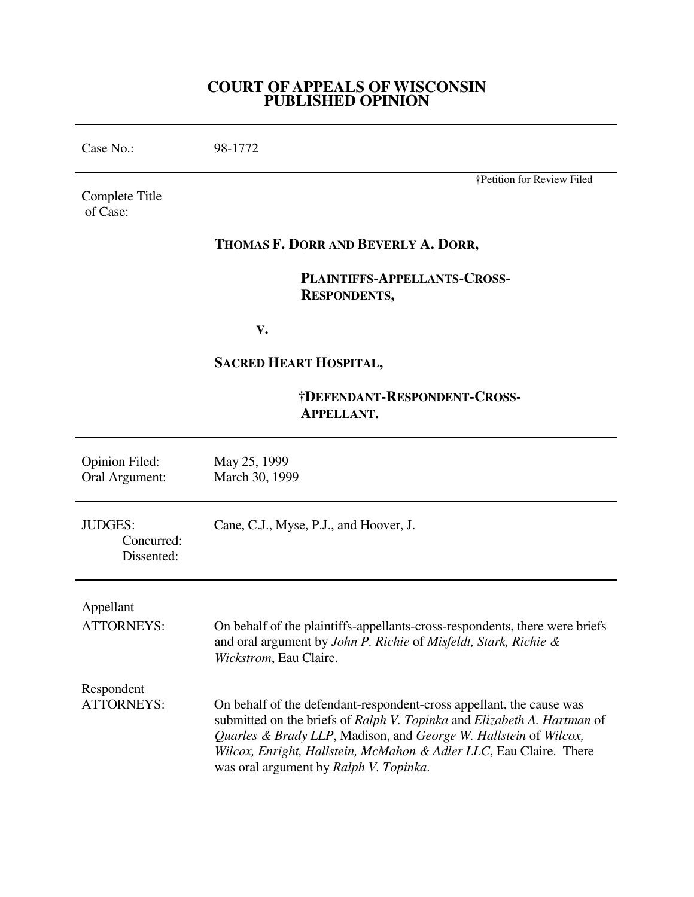## **COURT OF APPEALS OF WISCONSIN PUBLISHED OPINION**

Case No.: 98-1772

Complete Title of Case:

†Petition for Review Filed

# **THOMAS F. DORR AND BEVERLY A. DORR,**

 **PLAINTIFFS-APPELLANTS-CROSS- RESPONDENTS,** 

 **V.** 

# **SACRED HEART HOSPITAL,**

# **†DEFENDANT-RESPONDENT-CROSS- APPELLANT.**

| <b>Opinion Filed:</b><br>Oral Argument:    | May 25, 1999<br>March 30, 1999                                                                                                                                                                                                                                                                                                      |
|--------------------------------------------|-------------------------------------------------------------------------------------------------------------------------------------------------------------------------------------------------------------------------------------------------------------------------------------------------------------------------------------|
| <b>JUDGES:</b><br>Concurred:<br>Dissented: | Cane, C.J., Myse, P.J., and Hoover, J.                                                                                                                                                                                                                                                                                              |
| Appellant                                  |                                                                                                                                                                                                                                                                                                                                     |
| <b>ATTORNEYS:</b>                          | On behalf of the plaintiffs-appellants-cross-respondents, there were briefs<br>and oral argument by John P. Richie of Misfeldt, Stark, Richie &<br>Wickstrom, Eau Claire.                                                                                                                                                           |
| Respondent                                 |                                                                                                                                                                                                                                                                                                                                     |
| <b>ATTORNEYS:</b>                          | On behalf of the defendant-respondent-cross appellant, the cause was<br>submitted on the briefs of Ralph V. Topinka and Elizabeth A. Hartman of<br>Quarles & Brady LLP, Madison, and George W. Hallstein of Wilcox,<br>Wilcox, Enright, Hallstein, McMahon & Adler LLC, Eau Claire. There<br>was oral argument by Ralph V. Topinka. |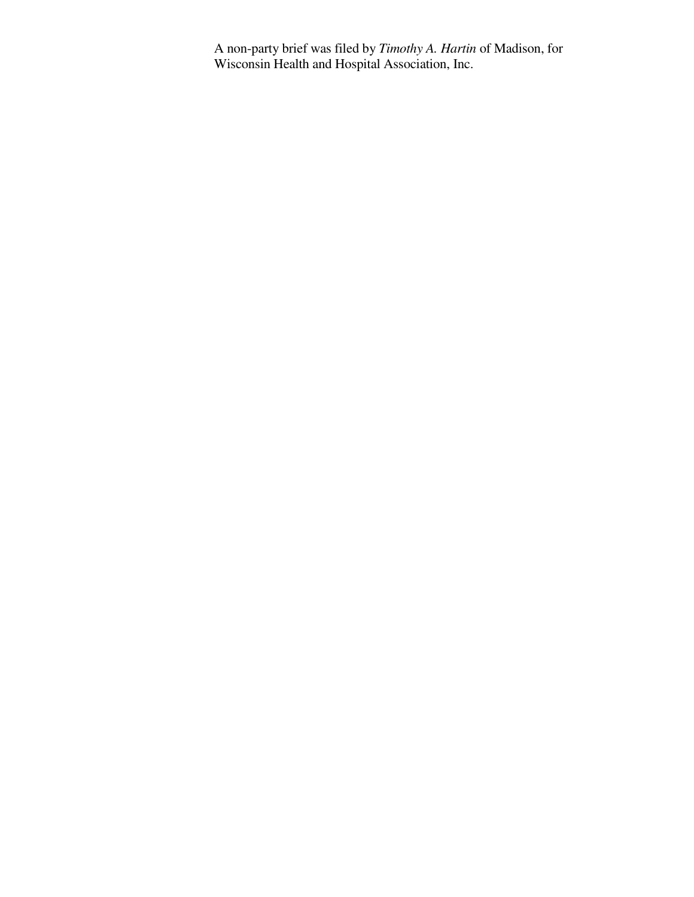A non-party brief was filed by *Timothy A. Hartin* of Madison, for Wisconsin Health and Hospital Association, Inc.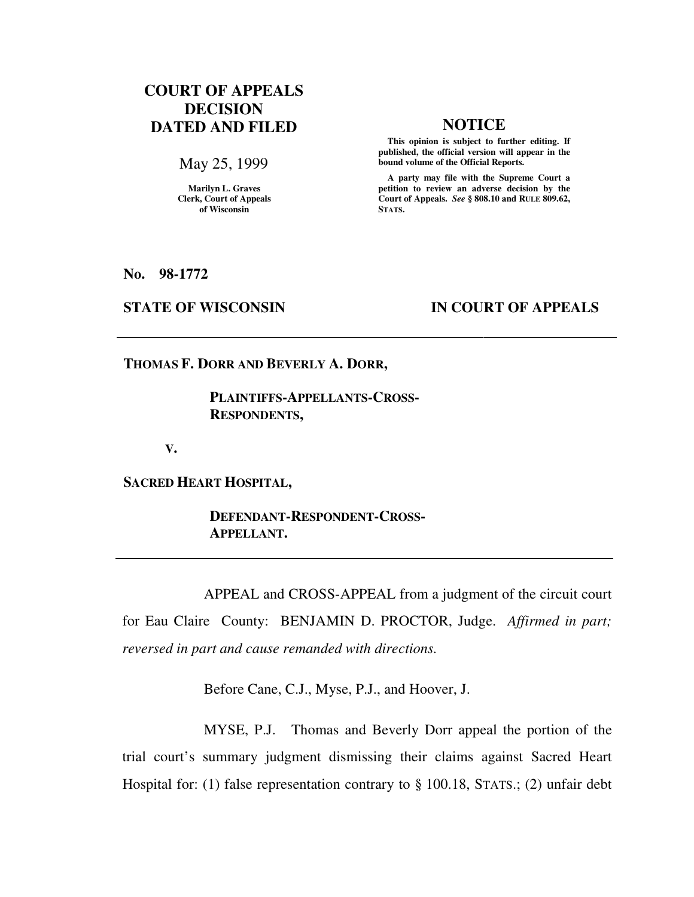# **COURT OF APPEALS DECISION DATED AND FILED NOTICE**

May 25, 1999

**Marilyn L. Graves Clerk, Court of Appeals of Wisconsin** 

 **This opinion is subject to further editing. If published, the official version will appear in the bound volume of the Official Reports.**

 **A party may file with the Supreme Court a petition to review an adverse decision by the Court of Appeals.** *See* **§ 808.10 and RULE 809.62, STATS.** 

**No. 98-1772** 

## **STATE OF WISCONSIN IN COURT OF APPEALS**

**THOMAS F. DORR AND BEVERLY A. DORR,** 

 **PLAINTIFFS-APPELLANTS-CROSS- RESPONDENTS,** 

 **V.** 

**SACRED HEART HOSPITAL,** 

 **DEFENDANT-RESPONDENT-CROSS- APPELLANT.** 

 APPEAL and CROSS-APPEAL from a judgment of the circuit court for Eau Claire County: BENJAMIN D. PROCTOR, Judge. *Affirmed in part; reversed in part and cause remanded with directions.*

Before Cane, C.J., Myse, P.J., and Hoover, J.

 MYSE, P.J. Thomas and Beverly Dorr appeal the portion of the trial court's summary judgment dismissing their claims against Sacred Heart Hospital for: (1) false representation contrary to § 100.18, STATS.; (2) unfair debt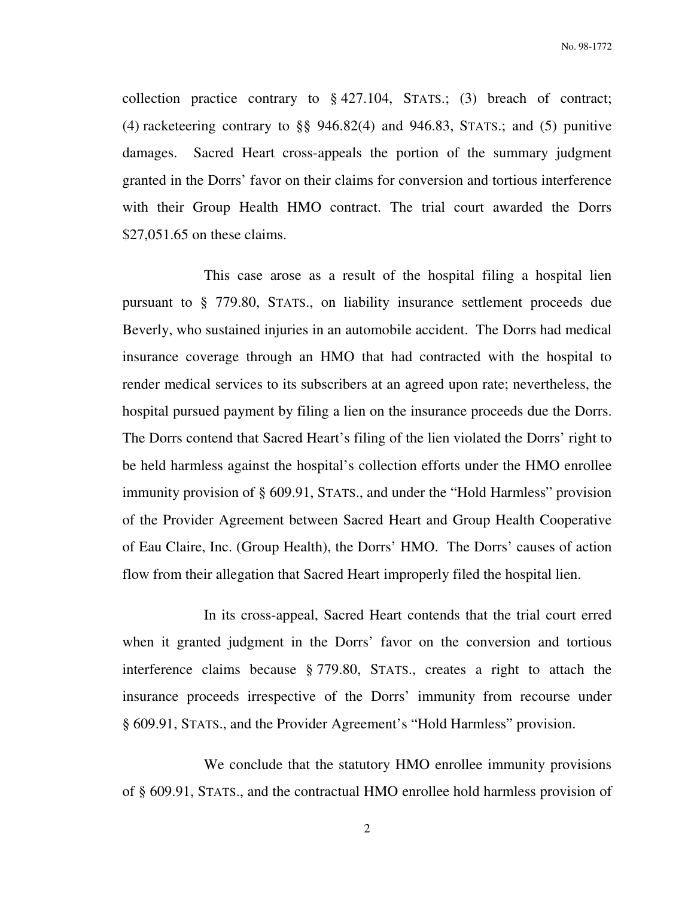collection practice contrary to  $\S$  427.104, STATS.; (3) breach of contract; (4) racketeering contrary to §§ 946.82(4) and 946.83, STATS.; and (5) punitive damages. Sacred Heart cross-appeals the portion of the summary judgment granted in the Dorrs' favor on their claims for conversion and tortious interference with their Group Health HMO contract. The trial court awarded the Dorrs \$27,051.65 on these claims.

 This case arose as a result of the hospital filing a hospital lien pursuant to § 779.80, STATS., on liability insurance settlement proceeds due Beverly, who sustained injuries in an automobile accident. The Dorrs had medical insurance coverage through an HMO that had contracted with the hospital to render medical services to its subscribers at an agreed upon rate; nevertheless, the hospital pursued payment by filing a lien on the insurance proceeds due the Dorrs. The Dorrs contend that Sacred Heart's filing of the lien violated the Dorrs' right to be held harmless against the hospital's collection efforts under the HMO enrollee immunity provision of § 609.91, STATS., and under the "Hold Harmless" provision of the Provider Agreement between Sacred Heart and Group Health Cooperative of Eau Claire, Inc. (Group Health), the Dorrs' HMO. The Dorrs' causes of action flow from their allegation that Sacred Heart improperly filed the hospital lien.

 In its cross-appeal, Sacred Heart contends that the trial court erred when it granted judgment in the Dorrs' favor on the conversion and tortious interference claims because § 779.80, STATS., creates a right to attach the insurance proceeds irrespective of the Dorrs' immunity from recourse under § 609.91, STATS., and the Provider Agreement's "Hold Harmless" provision.

 We conclude that the statutory HMO enrollee immunity provisions of § 609.91, STATS., and the contractual HMO enrollee hold harmless provision of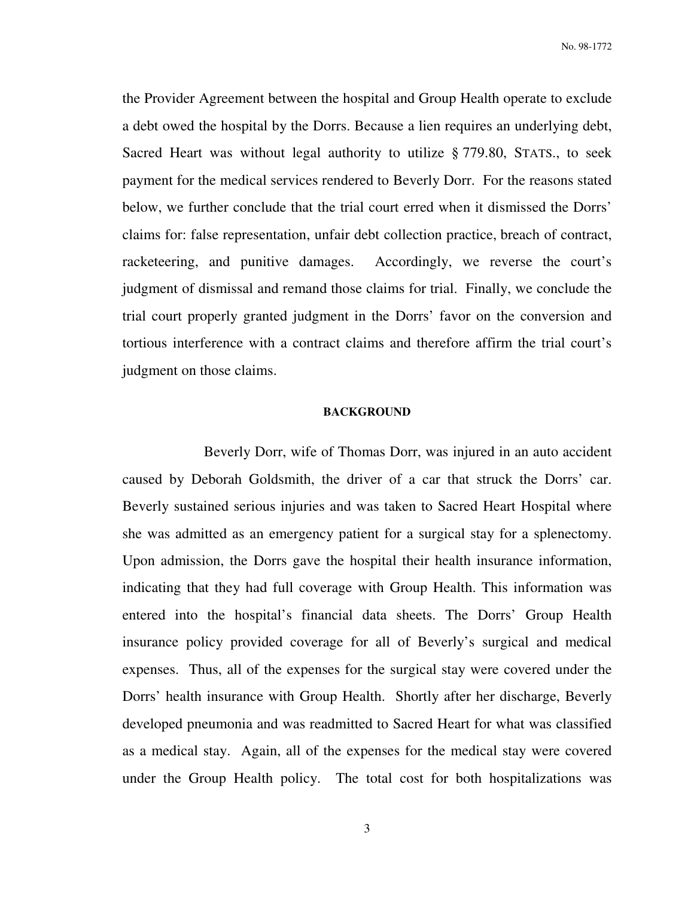the Provider Agreement between the hospital and Group Health operate to exclude a debt owed the hospital by the Dorrs. Because a lien requires an underlying debt, Sacred Heart was without legal authority to utilize § 779.80, STATS., to seek payment for the medical services rendered to Beverly Dorr. For the reasons stated below, we further conclude that the trial court erred when it dismissed the Dorrs' claims for: false representation, unfair debt collection practice, breach of contract, racketeering, and punitive damages. Accordingly, we reverse the court's judgment of dismissal and remand those claims for trial. Finally, we conclude the trial court properly granted judgment in the Dorrs' favor on the conversion and tortious interference with a contract claims and therefore affirm the trial court's judgment on those claims.

#### **BACKGROUND**

 Beverly Dorr, wife of Thomas Dorr, was injured in an auto accident caused by Deborah Goldsmith, the driver of a car that struck the Dorrs' car. Beverly sustained serious injuries and was taken to Sacred Heart Hospital where she was admitted as an emergency patient for a surgical stay for a splenectomy. Upon admission, the Dorrs gave the hospital their health insurance information, indicating that they had full coverage with Group Health. This information was entered into the hospital's financial data sheets. The Dorrs' Group Health insurance policy provided coverage for all of Beverly's surgical and medical expenses. Thus, all of the expenses for the surgical stay were covered under the Dorrs' health insurance with Group Health. Shortly after her discharge, Beverly developed pneumonia and was readmitted to Sacred Heart for what was classified as a medical stay. Again, all of the expenses for the medical stay were covered under the Group Health policy. The total cost for both hospitalizations was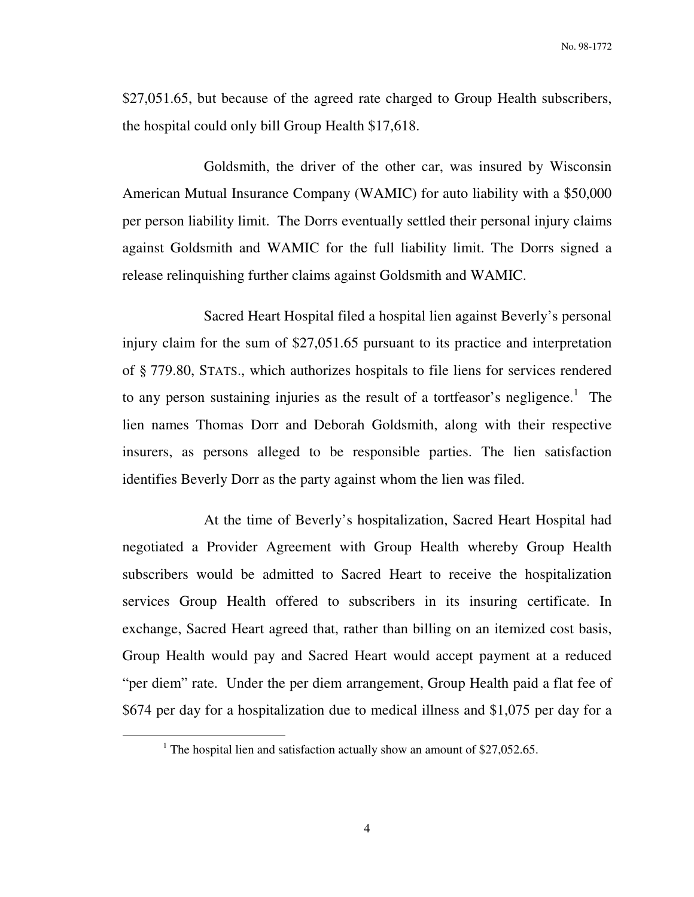\$27,051.65, but because of the agreed rate charged to Group Health subscribers, the hospital could only bill Group Health \$17,618.

 Goldsmith, the driver of the other car, was insured by Wisconsin American Mutual Insurance Company (WAMIC) for auto liability with a \$50,000 per person liability limit. The Dorrs eventually settled their personal injury claims against Goldsmith and WAMIC for the full liability limit. The Dorrs signed a release relinquishing further claims against Goldsmith and WAMIC.

 Sacred Heart Hospital filed a hospital lien against Beverly's personal injury claim for the sum of \$27,051.65 pursuant to its practice and interpretation of § 779.80, STATS., which authorizes hospitals to file liens for services rendered to any person sustaining injuries as the result of a tortfeasor's negligence.<sup>1</sup> The lien names Thomas Dorr and Deborah Goldsmith, along with their respective insurers, as persons alleged to be responsible parties. The lien satisfaction identifies Beverly Dorr as the party against whom the lien was filed.

 At the time of Beverly's hospitalization, Sacred Heart Hospital had negotiated a Provider Agreement with Group Health whereby Group Health subscribers would be admitted to Sacred Heart to receive the hospitalization services Group Health offered to subscribers in its insuring certificate. In exchange, Sacred Heart agreed that, rather than billing on an itemized cost basis, Group Health would pay and Sacred Heart would accept payment at a reduced "per diem" rate. Under the per diem arrangement, Group Health paid a flat fee of \$674 per day for a hospitalization due to medical illness and \$1,075 per day for a

 $\overline{a}$ 

<sup>&</sup>lt;sup>1</sup> The hospital lien and satisfaction actually show an amount of \$27,052.65.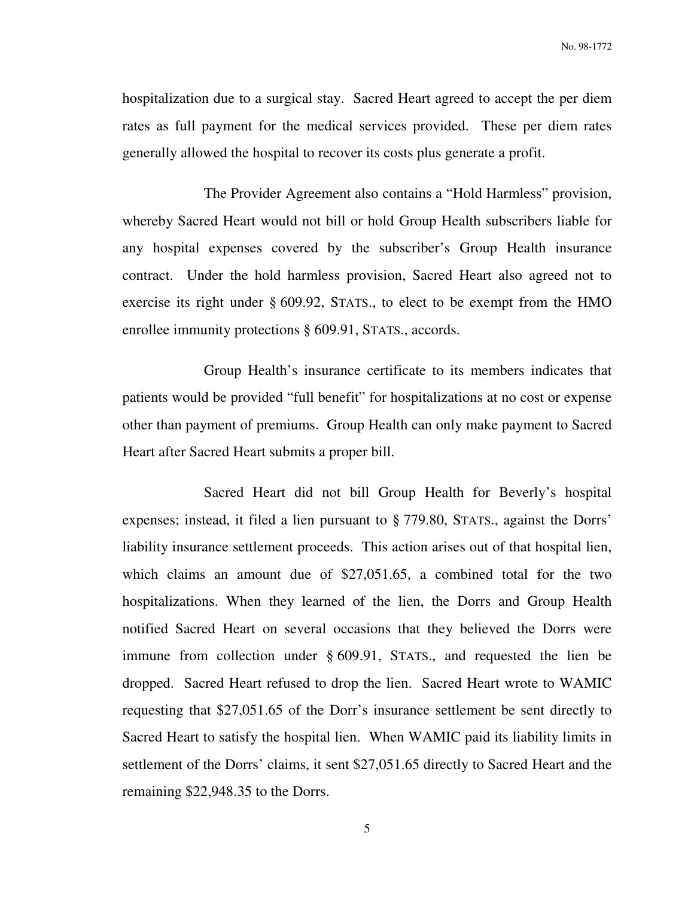hospitalization due to a surgical stay. Sacred Heart agreed to accept the per diem rates as full payment for the medical services provided. These per diem rates generally allowed the hospital to recover its costs plus generate a profit.

 The Provider Agreement also contains a "Hold Harmless" provision, whereby Sacred Heart would not bill or hold Group Health subscribers liable for any hospital expenses covered by the subscriber's Group Health insurance contract. Under the hold harmless provision, Sacred Heart also agreed not to exercise its right under § 609.92, STATS., to elect to be exempt from the HMO enrollee immunity protections  $\S$  609.91, STATS., accords.

 Group Health's insurance certificate to its members indicates that patients would be provided "full benefit" for hospitalizations at no cost or expense other than payment of premiums. Group Health can only make payment to Sacred Heart after Sacred Heart submits a proper bill.

 Sacred Heart did not bill Group Health for Beverly's hospital expenses; instead, it filed a lien pursuant to § 779.80, STATS., against the Dorrs' liability insurance settlement proceeds. This action arises out of that hospital lien, which claims an amount due of \$27,051.65, a combined total for the two hospitalizations. When they learned of the lien, the Dorrs and Group Health notified Sacred Heart on several occasions that they believed the Dorrs were immune from collection under § 609.91, STATS., and requested the lien be dropped. Sacred Heart refused to drop the lien. Sacred Heart wrote to WAMIC requesting that \$27,051.65 of the Dorr's insurance settlement be sent directly to Sacred Heart to satisfy the hospital lien. When WAMIC paid its liability limits in settlement of the Dorrs' claims, it sent \$27,051.65 directly to Sacred Heart and the remaining \$22,948.35 to the Dorrs.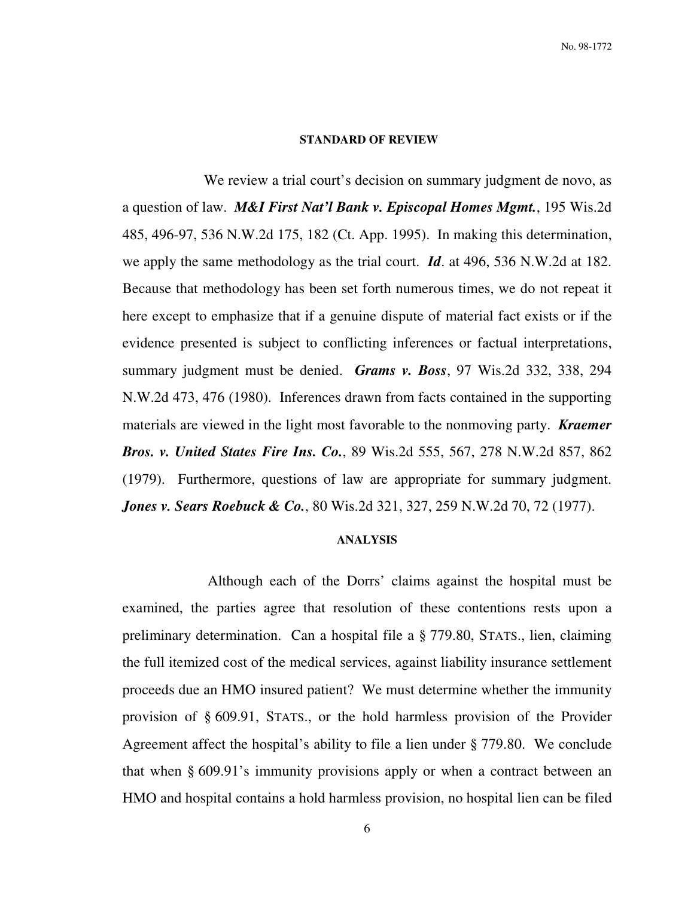#### **STANDARD OF REVIEW**

We review a trial court's decision on summary judgment de novo, as a question of law. *M&I First Nat'l Bank v. Episcopal Homes Mgmt.*, 195 Wis.2d 485, 496-97, 536 N.W.2d 175, 182 (Ct. App. 1995). In making this determination, we apply the same methodology as the trial court. *Id*. at 496, 536 N.W.2d at 182. Because that methodology has been set forth numerous times, we do not repeat it here except to emphasize that if a genuine dispute of material fact exists or if the evidence presented is subject to conflicting inferences or factual interpretations, summary judgment must be denied. *Grams v. Boss*, 97 Wis.2d 332, 338, 294 N.W.2d 473, 476 (1980). Inferences drawn from facts contained in the supporting materials are viewed in the light most favorable to the nonmoving party. *Kraemer Bros. v. United States Fire Ins. Co.*, 89 Wis.2d 555, 567, 278 N.W.2d 857, 862 (1979). Furthermore, questions of law are appropriate for summary judgment. *Jones v. Sears Roebuck & Co.*, 80 Wis.2d 321, 327, 259 N.W.2d 70, 72 (1977).

#### **ANALYSIS**

 Although each of the Dorrs' claims against the hospital must be examined, the parties agree that resolution of these contentions rests upon a preliminary determination. Can a hospital file a § 779.80, STATS., lien, claiming the full itemized cost of the medical services, against liability insurance settlement proceeds due an HMO insured patient? We must determine whether the immunity provision of § 609.91, STATS., or the hold harmless provision of the Provider Agreement affect the hospital's ability to file a lien under § 779.80. We conclude that when § 609.91's immunity provisions apply or when a contract between an HMO and hospital contains a hold harmless provision, no hospital lien can be filed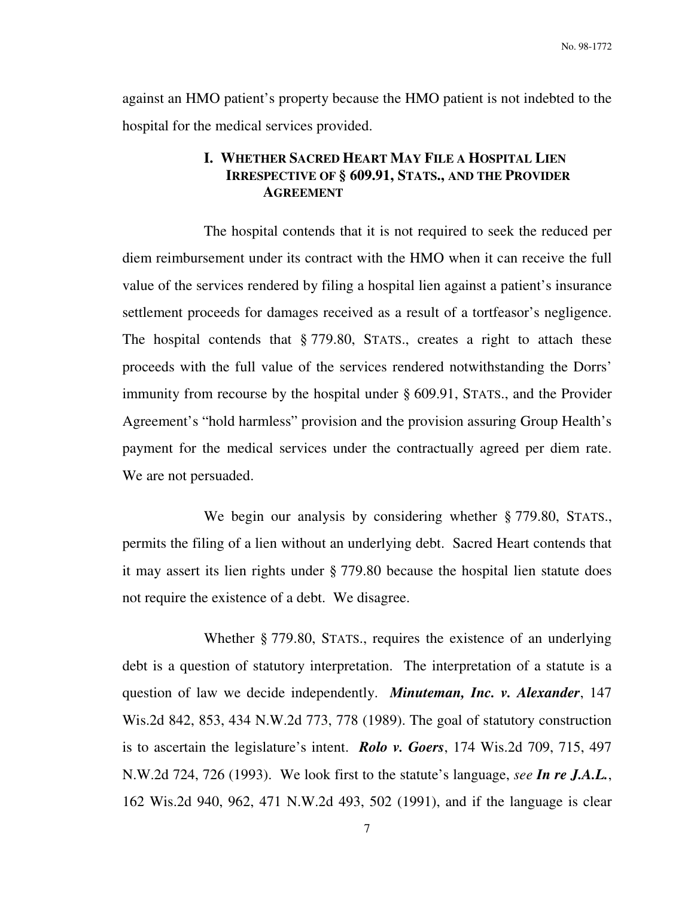No. 98-1772

against an HMO patient's property because the HMO patient is not indebted to the hospital for the medical services provided.

# **I. WHETHER SACRED HEART MAY FILE A HOSPITAL LIEN IRRESPECTIVE OF § 609.91, STATS., AND THE PROVIDER AGREEMENT**

 The hospital contends that it is not required to seek the reduced per diem reimbursement under its contract with the HMO when it can receive the full value of the services rendered by filing a hospital lien against a patient's insurance settlement proceeds for damages received as a result of a tortfeasor's negligence. The hospital contends that § 779.80, STATS., creates a right to attach these proceeds with the full value of the services rendered notwithstanding the Dorrs' immunity from recourse by the hospital under § 609.91, STATS., and the Provider Agreement's "hold harmless" provision and the provision assuring Group Health's payment for the medical services under the contractually agreed per diem rate. We are not persuaded.

We begin our analysis by considering whether § 779.80, STATS., permits the filing of a lien without an underlying debt. Sacred Heart contends that it may assert its lien rights under § 779.80 because the hospital lien statute does not require the existence of a debt. We disagree.

 Whether § 779.80, STATS., requires the existence of an underlying debt is a question of statutory interpretation. The interpretation of a statute is a question of law we decide independently. *Minuteman, Inc. v. Alexander*, 147 Wis.2d 842, 853, 434 N.W.2d 773, 778 (1989). The goal of statutory construction is to ascertain the legislature's intent. *Rolo v. Goers*, 174 Wis.2d 709, 715, 497 N.W.2d 724, 726 (1993). We look first to the statute's language, *see In re J.A.L.*, 162 Wis.2d 940, 962, 471 N.W.2d 493, 502 (1991), and if the language is clear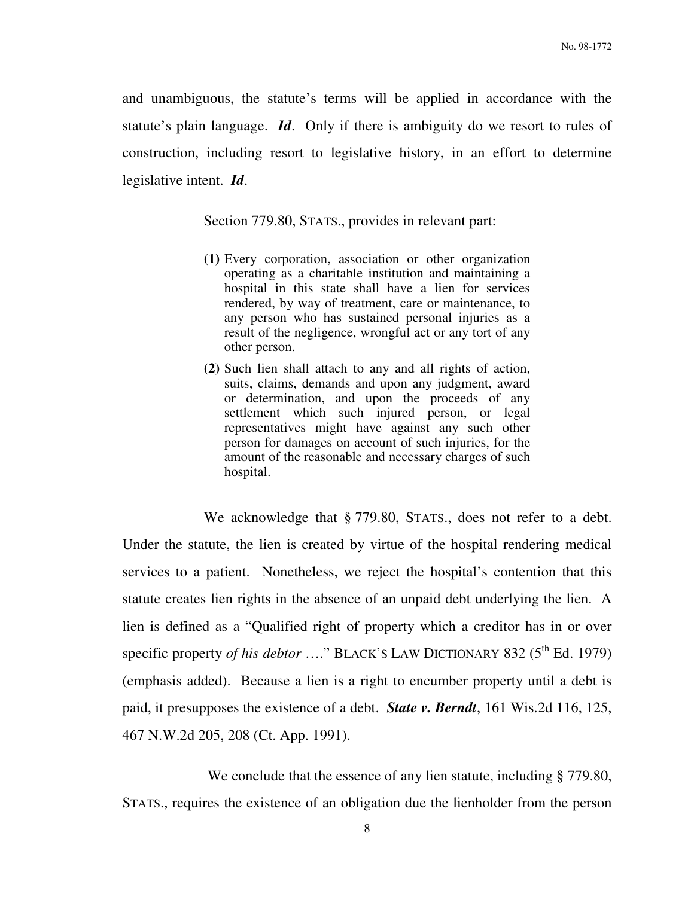and unambiguous, the statute's terms will be applied in accordance with the statute's plain language. *Id*. Only if there is ambiguity do we resort to rules of construction, including resort to legislative history, in an effort to determine legislative intent. *Id*.

Section 779.80, STATS., provides in relevant part:

- **(1)** Every corporation, association or other organization operating as a charitable institution and maintaining a hospital in this state shall have a lien for services rendered, by way of treatment, care or maintenance, to any person who has sustained personal injuries as a result of the negligence, wrongful act or any tort of any other person.
- **(2)** Such lien shall attach to any and all rights of action, suits, claims, demands and upon any judgment, award or determination, and upon the proceeds of any settlement which such injured person, or legal representatives might have against any such other person for damages on account of such injuries, for the amount of the reasonable and necessary charges of such hospital.

We acknowledge that § 779.80, STATS., does not refer to a debt. Under the statute, the lien is created by virtue of the hospital rendering medical services to a patient. Nonetheless, we reject the hospital's contention that this statute creates lien rights in the absence of an unpaid debt underlying the lien. A lien is defined as a "Qualified right of property which a creditor has in or over specific property *of his debtor* ...." BLACK'S LAW DICTIONARY 832 (5<sup>th</sup> Ed. 1979) (emphasis added). Because a lien is a right to encumber property until a debt is paid, it presupposes the existence of a debt. *State v. Berndt*, 161 Wis.2d 116, 125, 467 N.W.2d 205, 208 (Ct. App. 1991).

We conclude that the essence of any lien statute, including § 779.80, STATS., requires the existence of an obligation due the lienholder from the person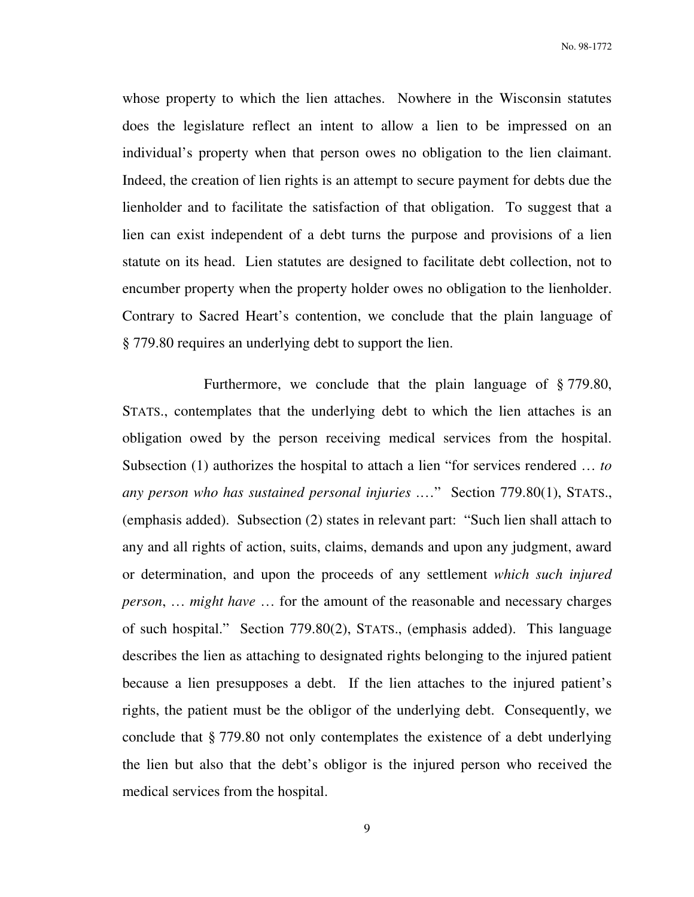whose property to which the lien attaches. Nowhere in the Wisconsin statutes does the legislature reflect an intent to allow a lien to be impressed on an individual's property when that person owes no obligation to the lien claimant. Indeed, the creation of lien rights is an attempt to secure payment for debts due the lienholder and to facilitate the satisfaction of that obligation. To suggest that a lien can exist independent of a debt turns the purpose and provisions of a lien statute on its head. Lien statutes are designed to facilitate debt collection, not to encumber property when the property holder owes no obligation to the lienholder. Contrary to Sacred Heart's contention, we conclude that the plain language of § 779.80 requires an underlying debt to support the lien.

 Furthermore, we conclude that the plain language of § 779.80, STATS., contemplates that the underlying debt to which the lien attaches is an obligation owed by the person receiving medical services from the hospital. Subsection (1) authorizes the hospital to attach a lien "for services rendered … *to any person who has sustained personal injuries* .…" Section 779.80(1), STATS., (emphasis added). Subsection (2) states in relevant part: "Such lien shall attach to any and all rights of action, suits, claims, demands and upon any judgment, award or determination, and upon the proceeds of any settlement *which such injured person*, … *might have* … for the amount of the reasonable and necessary charges of such hospital." Section 779.80(2), STATS., (emphasis added). This language describes the lien as attaching to designated rights belonging to the injured patient because a lien presupposes a debt. If the lien attaches to the injured patient's rights, the patient must be the obligor of the underlying debt. Consequently, we conclude that § 779.80 not only contemplates the existence of a debt underlying the lien but also that the debt's obligor is the injured person who received the medical services from the hospital.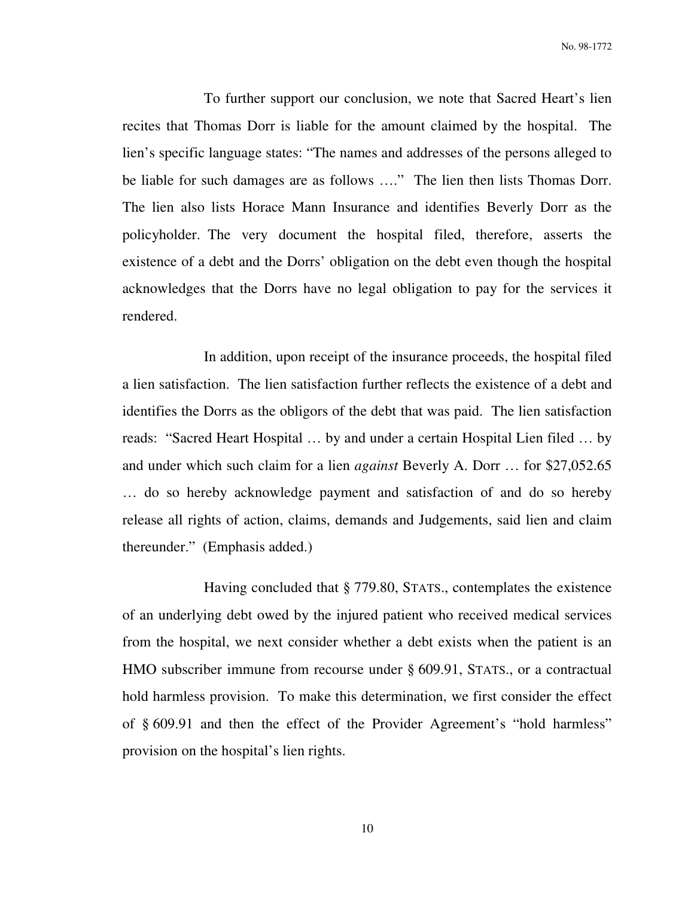To further support our conclusion, we note that Sacred Heart's lien recites that Thomas Dorr is liable for the amount claimed by the hospital. The lien's specific language states: "The names and addresses of the persons alleged to be liable for such damages are as follows …." The lien then lists Thomas Dorr. The lien also lists Horace Mann Insurance and identifies Beverly Dorr as the policyholder. The very document the hospital filed, therefore, asserts the existence of a debt and the Dorrs' obligation on the debt even though the hospital acknowledges that the Dorrs have no legal obligation to pay for the services it rendered.

 In addition, upon receipt of the insurance proceeds, the hospital filed a lien satisfaction. The lien satisfaction further reflects the existence of a debt and identifies the Dorrs as the obligors of the debt that was paid. The lien satisfaction reads: "Sacred Heart Hospital … by and under a certain Hospital Lien filed … by and under which such claim for a lien *against* Beverly A. Dorr … for \$27,052.65 … do so hereby acknowledge payment and satisfaction of and do so hereby release all rights of action, claims, demands and Judgements, said lien and claim thereunder." (Emphasis added.)

 Having concluded that § 779.80, STATS., contemplates the existence of an underlying debt owed by the injured patient who received medical services from the hospital, we next consider whether a debt exists when the patient is an HMO subscriber immune from recourse under § 609.91, STATS., or a contractual hold harmless provision. To make this determination, we first consider the effect of § 609.91 and then the effect of the Provider Agreement's "hold harmless" provision on the hospital's lien rights.

10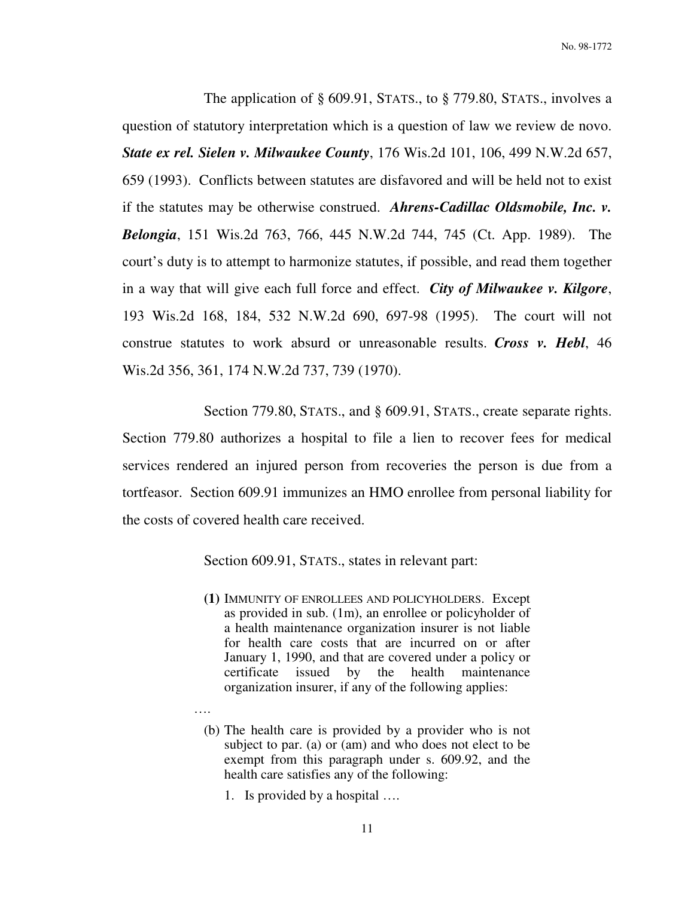The application of § 609.91, STATS., to § 779.80, STATS., involves a question of statutory interpretation which is a question of law we review de novo. *State ex rel. Sielen v. Milwaukee County*, 176 Wis.2d 101, 106, 499 N.W.2d 657, 659 (1993). Conflicts between statutes are disfavored and will be held not to exist if the statutes may be otherwise construed. *Ahrens-Cadillac Oldsmobile, Inc. v. Belongia*, 151 Wis.2d 763, 766, 445 N.W.2d 744, 745 (Ct. App. 1989). The court's duty is to attempt to harmonize statutes, if possible, and read them together in a way that will give each full force and effect. *City of Milwaukee v. Kilgore*, 193 Wis.2d 168, 184, 532 N.W.2d 690, 697-98 (1995). The court will not construe statutes to work absurd or unreasonable results. *Cross v. Hebl*, 46 Wis.2d 356, 361, 174 N.W.2d 737, 739 (1970).

Section 779.80, STATS., and § 609.91, STATS., create separate rights. Section 779.80 authorizes a hospital to file a lien to recover fees for medical services rendered an injured person from recoveries the person is due from a tortfeasor. Section 609.91 immunizes an HMO enrollee from personal liability for the costs of covered health care received.

Section 609.91, STATS., states in relevant part:

- **(1)** IMMUNITY OF ENROLLEES AND POLICYHOLDERS. Except as provided in sub. (1m), an enrollee or policyholder of a health maintenance organization insurer is not liable for health care costs that are incurred on or after January 1, 1990, and that are covered under a policy or certificate issued by the health maintenance organization insurer, if any of the following applies:
- ….

(b) The health care is provided by a provider who is not subject to par. (a) or (am) and who does not elect to be exempt from this paragraph under s. 609.92, and the health care satisfies any of the following:

1. Is provided by a hospital ….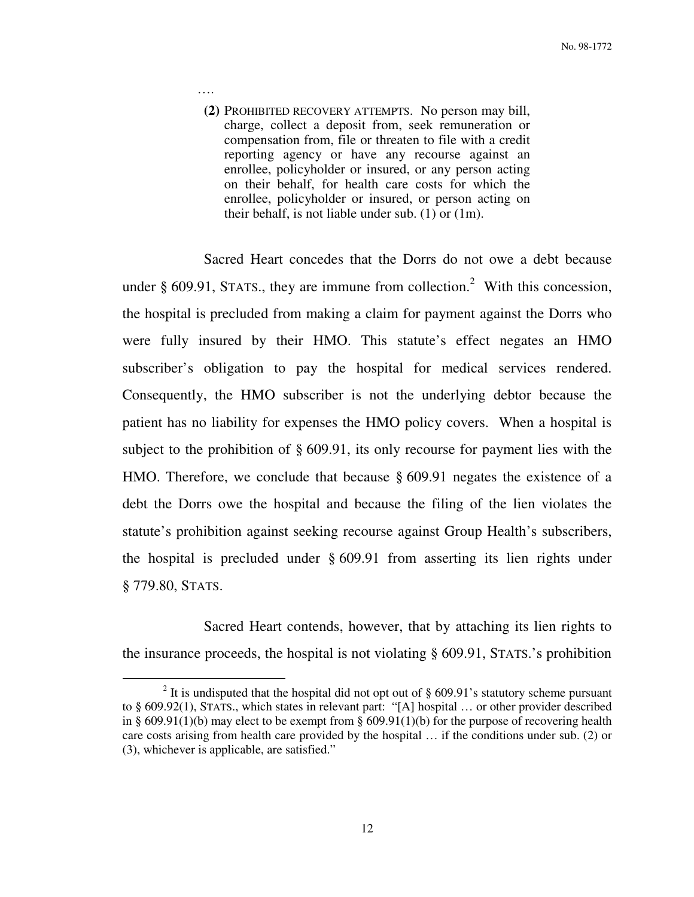**(2)** PROHIBITED RECOVERY ATTEMPTS. No person may bill, charge, collect a deposit from, seek remuneration or compensation from, file or threaten to file with a credit reporting agency or have any recourse against an enrollee, policyholder or insured, or any person acting on their behalf, for health care costs for which the enrollee, policyholder or insured, or person acting on their behalf, is not liable under sub. (1) or (1m).

….

 $\overline{a}$ 

 Sacred Heart concedes that the Dorrs do not owe a debt because under  $\S$  609.91, STATS., they are immune from collection.<sup>2</sup> With this concession, the hospital is precluded from making a claim for payment against the Dorrs who were fully insured by their HMO. This statute's effect negates an HMO subscriber's obligation to pay the hospital for medical services rendered. Consequently, the HMO subscriber is not the underlying debtor because the patient has no liability for expenses the HMO policy covers. When a hospital is subject to the prohibition of § 609.91, its only recourse for payment lies with the HMO. Therefore, we conclude that because § 609.91 negates the existence of a debt the Dorrs owe the hospital and because the filing of the lien violates the statute's prohibition against seeking recourse against Group Health's subscribers, the hospital is precluded under § 609.91 from asserting its lien rights under § 779.80, STATS.

 Sacred Heart contends, however, that by attaching its lien rights to the insurance proceeds, the hospital is not violating § 609.91, STATS.'s prohibition

<sup>&</sup>lt;sup>2</sup> It is undisputed that the hospital did not opt out of  $\S$  609.91's statutory scheme pursuant to § 609.92(1), STATS., which states in relevant part: "[A] hospital … or other provider described in § 609.91(1)(b) may elect to be exempt from § 609.91(1)(b) for the purpose of recovering health care costs arising from health care provided by the hospital … if the conditions under sub. (2) or (3), whichever is applicable, are satisfied."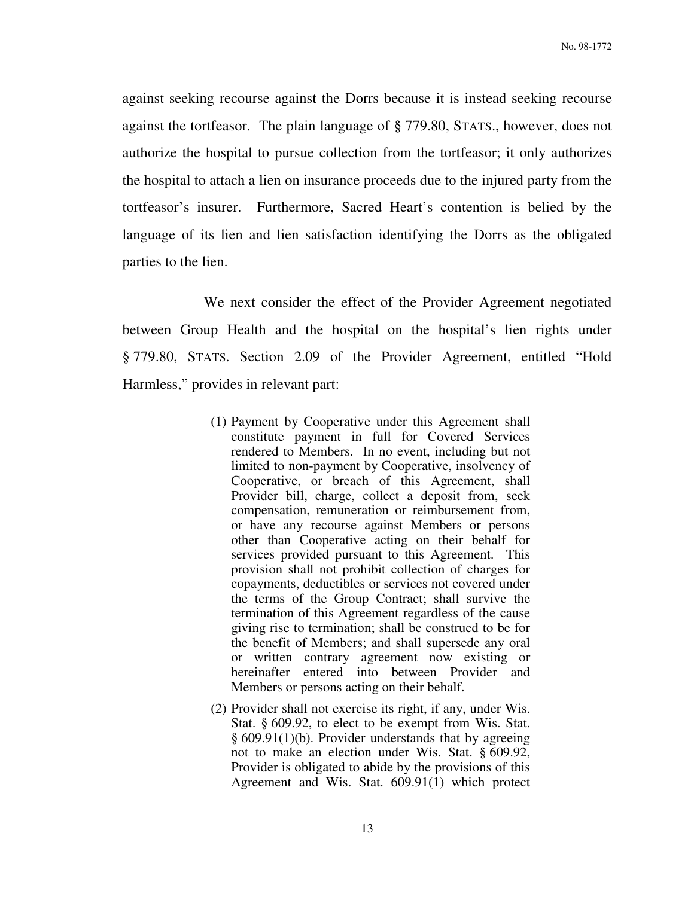against seeking recourse against the Dorrs because it is instead seeking recourse against the tortfeasor. The plain language of § 779.80, STATS., however, does not authorize the hospital to pursue collection from the tortfeasor; it only authorizes the hospital to attach a lien on insurance proceeds due to the injured party from the tortfeasor's insurer. Furthermore, Sacred Heart's contention is belied by the language of its lien and lien satisfaction identifying the Dorrs as the obligated parties to the lien.

 We next consider the effect of the Provider Agreement negotiated between Group Health and the hospital on the hospital's lien rights under § 779.80, STATS. Section 2.09 of the Provider Agreement, entitled "Hold Harmless," provides in relevant part:

- (1) Payment by Cooperative under this Agreement shall constitute payment in full for Covered Services rendered to Members. In no event, including but not limited to non-payment by Cooperative, insolvency of Cooperative, or breach of this Agreement, shall Provider bill, charge, collect a deposit from, seek compensation, remuneration or reimbursement from, or have any recourse against Members or persons other than Cooperative acting on their behalf for services provided pursuant to this Agreement. This provision shall not prohibit collection of charges for copayments, deductibles or services not covered under the terms of the Group Contract; shall survive the termination of this Agreement regardless of the cause giving rise to termination; shall be construed to be for the benefit of Members; and shall supersede any oral or written contrary agreement now existing or hereinafter entered into between Provider and Members or persons acting on their behalf.
- (2) Provider shall not exercise its right, if any, under Wis. Stat. § 609.92, to elect to be exempt from Wis. Stat. § 609.91(1)(b). Provider understands that by agreeing not to make an election under Wis. Stat. § 609.92, Provider is obligated to abide by the provisions of this Agreement and Wis. Stat. 609.91(1) which protect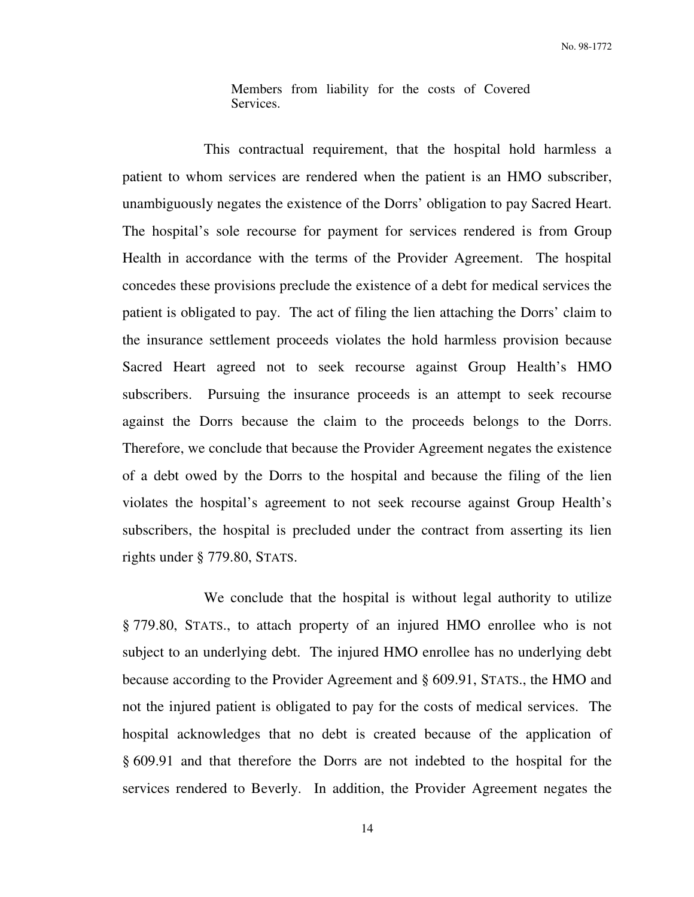Members from liability for the costs of Covered Services.

 This contractual requirement, that the hospital hold harmless a patient to whom services are rendered when the patient is an HMO subscriber, unambiguously negates the existence of the Dorrs' obligation to pay Sacred Heart. The hospital's sole recourse for payment for services rendered is from Group Health in accordance with the terms of the Provider Agreement. The hospital concedes these provisions preclude the existence of a debt for medical services the patient is obligated to pay. The act of filing the lien attaching the Dorrs' claim to the insurance settlement proceeds violates the hold harmless provision because Sacred Heart agreed not to seek recourse against Group Health's HMO subscribers. Pursuing the insurance proceeds is an attempt to seek recourse against the Dorrs because the claim to the proceeds belongs to the Dorrs. Therefore, we conclude that because the Provider Agreement negates the existence of a debt owed by the Dorrs to the hospital and because the filing of the lien violates the hospital's agreement to not seek recourse against Group Health's subscribers, the hospital is precluded under the contract from asserting its lien rights under § 779.80, STATS.

 We conclude that the hospital is without legal authority to utilize § 779.80, STATS., to attach property of an injured HMO enrollee who is not subject to an underlying debt. The injured HMO enrollee has no underlying debt because according to the Provider Agreement and § 609.91, STATS., the HMO and not the injured patient is obligated to pay for the costs of medical services. The hospital acknowledges that no debt is created because of the application of § 609.91 and that therefore the Dorrs are not indebted to the hospital for the services rendered to Beverly. In addition, the Provider Agreement negates the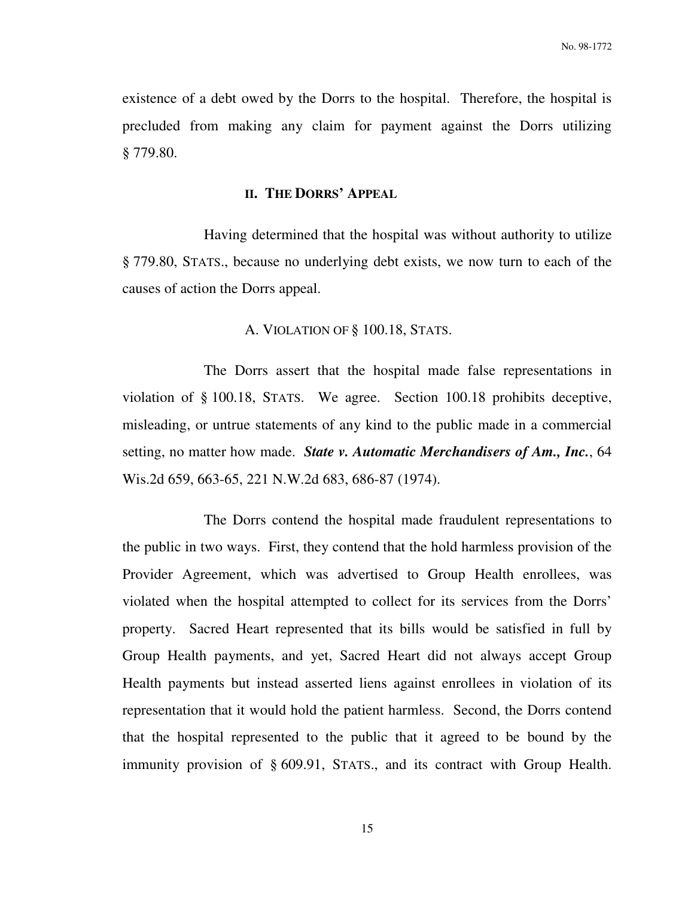existence of a debt owed by the Dorrs to the hospital. Therefore, the hospital is precluded from making any claim for payment against the Dorrs utilizing § 779.80.

## **II. THE DORRS' APPEAL**

 Having determined that the hospital was without authority to utilize § 779.80, STATS., because no underlying debt exists, we now turn to each of the causes of action the Dorrs appeal.

## A. VIOLATION OF § 100.18, STATS.

 The Dorrs assert that the hospital made false representations in violation of § 100.18, STATS. We agree. Section 100.18 prohibits deceptive, misleading, or untrue statements of any kind to the public made in a commercial setting, no matter how made. *State v. Automatic Merchandisers of Am., Inc.*, 64 Wis.2d 659, 663-65, 221 N.W.2d 683, 686-87 (1974).

 The Dorrs contend the hospital made fraudulent representations to the public in two ways. First, they contend that the hold harmless provision of the Provider Agreement, which was advertised to Group Health enrollees, was violated when the hospital attempted to collect for its services from the Dorrs' property. Sacred Heart represented that its bills would be satisfied in full by Group Health payments, and yet, Sacred Heart did not always accept Group Health payments but instead asserted liens against enrollees in violation of its representation that it would hold the patient harmless. Second, the Dorrs contend that the hospital represented to the public that it agreed to be bound by the immunity provision of § 609.91, STATS., and its contract with Group Health.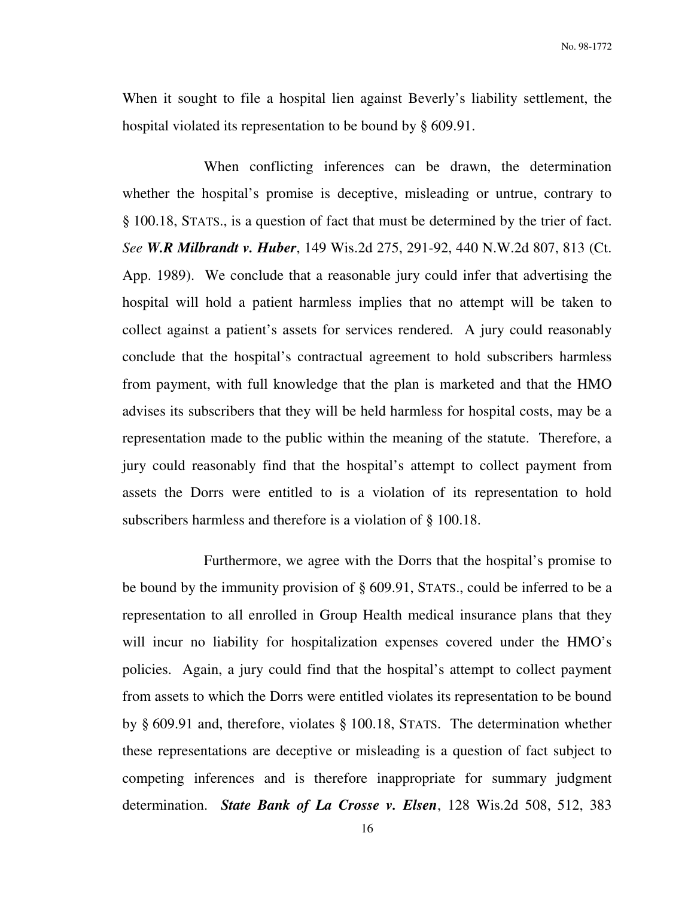When it sought to file a hospital lien against Beverly's liability settlement, the hospital violated its representation to be bound by § 609.91.

 When conflicting inferences can be drawn, the determination whether the hospital's promise is deceptive, misleading or untrue, contrary to § 100.18, STATS., is a question of fact that must be determined by the trier of fact. *See W.R Milbrandt v. Huber*, 149 Wis.2d 275, 291-92, 440 N.W.2d 807, 813 (Ct. App. 1989). We conclude that a reasonable jury could infer that advertising the hospital will hold a patient harmless implies that no attempt will be taken to collect against a patient's assets for services rendered. A jury could reasonably conclude that the hospital's contractual agreement to hold subscribers harmless from payment, with full knowledge that the plan is marketed and that the HMO advises its subscribers that they will be held harmless for hospital costs, may be a representation made to the public within the meaning of the statute. Therefore, a jury could reasonably find that the hospital's attempt to collect payment from assets the Dorrs were entitled to is a violation of its representation to hold subscribers harmless and therefore is a violation of § 100.18.

 Furthermore, we agree with the Dorrs that the hospital's promise to be bound by the immunity provision of § 609.91, STATS., could be inferred to be a representation to all enrolled in Group Health medical insurance plans that they will incur no liability for hospitalization expenses covered under the HMO's policies. Again, a jury could find that the hospital's attempt to collect payment from assets to which the Dorrs were entitled violates its representation to be bound by § 609.91 and, therefore, violates § 100.18, STATS. The determination whether these representations are deceptive or misleading is a question of fact subject to competing inferences and is therefore inappropriate for summary judgment determination. *State Bank of La Crosse v. Elsen*, 128 Wis.2d 508, 512, 383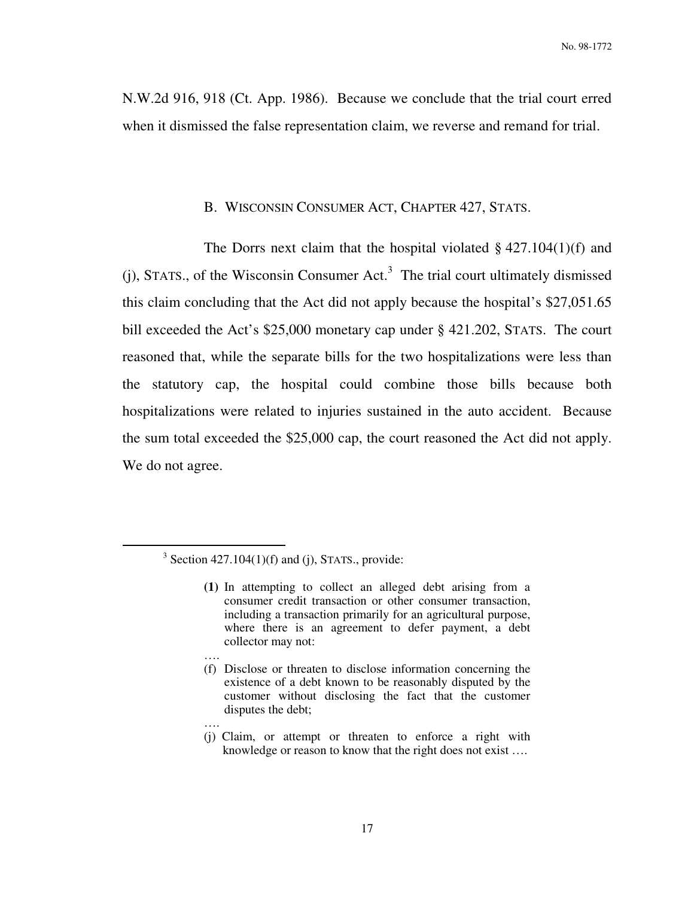N.W.2d 916, 918 (Ct. App. 1986). Because we conclude that the trial court erred when it dismissed the false representation claim, we reverse and remand for trial.

## B. WISCONSIN CONSUMER ACT, CHAPTER 427, STATS.

The Dorrs next claim that the hospital violated  $\S$  427.104(1)(f) and  $(j)$ , STATS., of the Wisconsin Consumer Act.<sup>3</sup> The trial court ultimately dismissed this claim concluding that the Act did not apply because the hospital's \$27,051.65 bill exceeded the Act's \$25,000 monetary cap under § 421.202, STATS. The court reasoned that, while the separate bills for the two hospitalizations were less than the statutory cap, the hospital could combine those bills because both hospitalizations were related to injuries sustained in the auto accident. Because the sum total exceeded the \$25,000 cap, the court reasoned the Act did not apply. We do not agree.

….

 $\overline{a}$ 

 $3$  Section 427.104(1)(f) and (j), STATS., provide:

**<sup>(1)</sup>** In attempting to collect an alleged debt arising from a consumer credit transaction or other consumer transaction, including a transaction primarily for an agricultural purpose, where there is an agreement to defer payment, a debt collector may not:

<sup>….</sup>  (f) Disclose or threaten to disclose information concerning the existence of a debt known to be reasonably disputed by the customer without disclosing the fact that the customer disputes the debt;

<sup>(</sup>j) Claim, or attempt or threaten to enforce a right with knowledge or reason to know that the right does not exist ….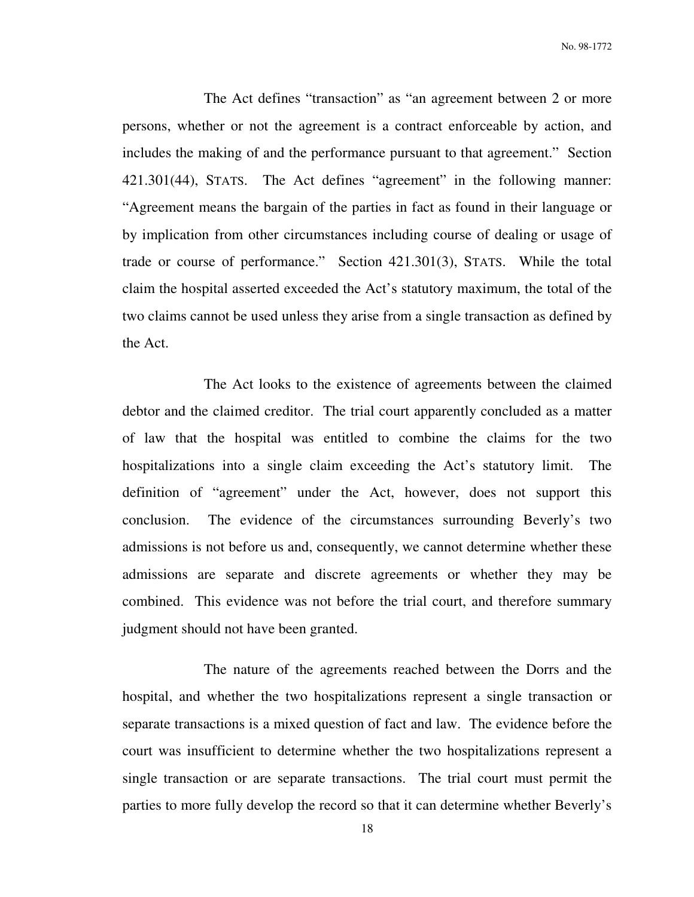The Act defines "transaction" as "an agreement between 2 or more persons, whether or not the agreement is a contract enforceable by action, and includes the making of and the performance pursuant to that agreement." Section 421.301(44), STATS. The Act defines "agreement" in the following manner: "Agreement means the bargain of the parties in fact as found in their language or by implication from other circumstances including course of dealing or usage of trade or course of performance." Section 421.301(3), STATS. While the total claim the hospital asserted exceeded the Act's statutory maximum, the total of the two claims cannot be used unless they arise from a single transaction as defined by the Act.

 The Act looks to the existence of agreements between the claimed debtor and the claimed creditor. The trial court apparently concluded as a matter of law that the hospital was entitled to combine the claims for the two hospitalizations into a single claim exceeding the Act's statutory limit. The definition of "agreement" under the Act, however, does not support this conclusion. The evidence of the circumstances surrounding Beverly's two admissions is not before us and, consequently, we cannot determine whether these admissions are separate and discrete agreements or whether they may be combined. This evidence was not before the trial court, and therefore summary judgment should not have been granted.

 The nature of the agreements reached between the Dorrs and the hospital, and whether the two hospitalizations represent a single transaction or separate transactions is a mixed question of fact and law. The evidence before the court was insufficient to determine whether the two hospitalizations represent a single transaction or are separate transactions. The trial court must permit the parties to more fully develop the record so that it can determine whether Beverly's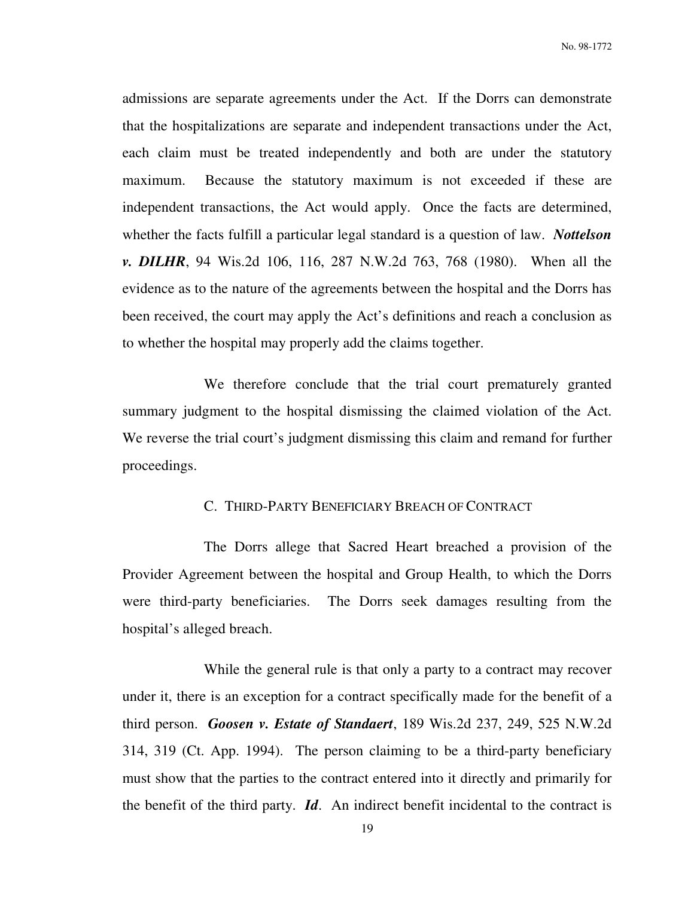No. 98-1772

admissions are separate agreements under the Act. If the Dorrs can demonstrate that the hospitalizations are separate and independent transactions under the Act, each claim must be treated independently and both are under the statutory maximum. Because the statutory maximum is not exceeded if these are independent transactions, the Act would apply. Once the facts are determined, whether the facts fulfill a particular legal standard is a question of law. *Nottelson v. DILHR*, 94 Wis.2d 106, 116, 287 N.W.2d 763, 768 (1980). When all the evidence as to the nature of the agreements between the hospital and the Dorrs has been received, the court may apply the Act's definitions and reach a conclusion as to whether the hospital may properly add the claims together.

 We therefore conclude that the trial court prematurely granted summary judgment to the hospital dismissing the claimed violation of the Act. We reverse the trial court's judgment dismissing this claim and remand for further proceedings.

## C. THIRD-PARTY BENEFICIARY BREACH OF CONTRACT

 The Dorrs allege that Sacred Heart breached a provision of the Provider Agreement between the hospital and Group Health, to which the Dorrs were third-party beneficiaries. The Dorrs seek damages resulting from the hospital's alleged breach.

 While the general rule is that only a party to a contract may recover under it, there is an exception for a contract specifically made for the benefit of a third person. *Goosen v. Estate of Standaert*, 189 Wis.2d 237, 249, 525 N.W.2d 314, 319 (Ct. App. 1994). The person claiming to be a third-party beneficiary must show that the parties to the contract entered into it directly and primarily for the benefit of the third party. *Id*. An indirect benefit incidental to the contract is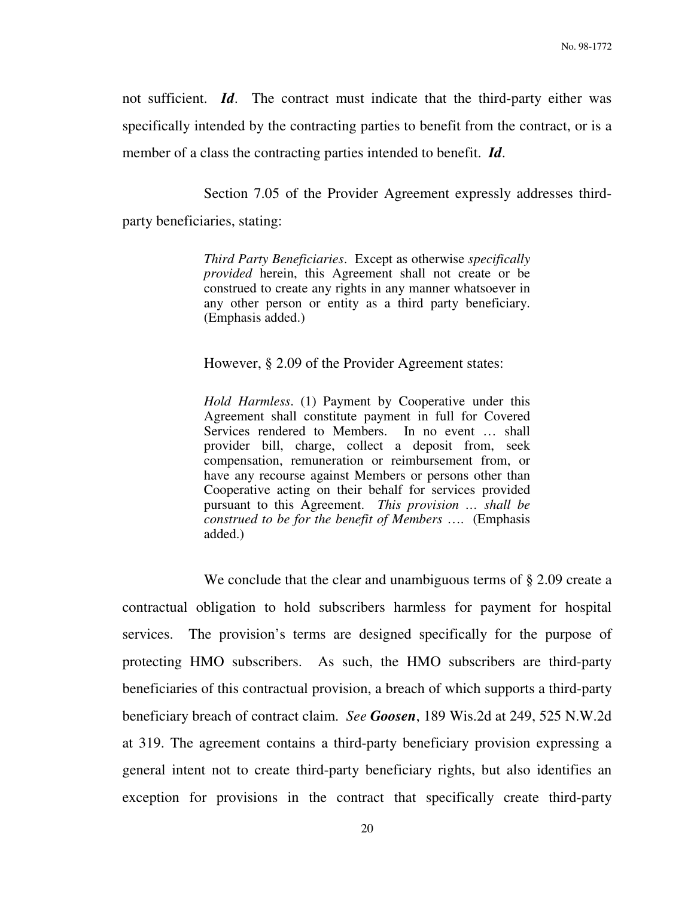not sufficient. *Id*. The contract must indicate that the third-party either was specifically intended by the contracting parties to benefit from the contract, or is a member of a class the contracting parties intended to benefit. *Id*.

Section 7.05 of the Provider Agreement expressly addresses third-

party beneficiaries, stating:

*Third Party Beneficiaries*. Except as otherwise *specifically provided* herein, this Agreement shall not create or be construed to create any rights in any manner whatsoever in any other person or entity as a third party beneficiary. (Emphasis added.)

However, § 2.09 of the Provider Agreement states:

*Hold Harmless*. (1) Payment by Cooperative under this Agreement shall constitute payment in full for Covered Services rendered to Members. In no event … shall provider bill, charge, collect a deposit from, seek compensation, remuneration or reimbursement from, or have any recourse against Members or persons other than Cooperative acting on their behalf for services provided pursuant to this Agreement. *This provision … shall be construed to be for the benefit of Members* …. (Emphasis added.)

We conclude that the clear and unambiguous terms of § 2.09 create a contractual obligation to hold subscribers harmless for payment for hospital services. The provision's terms are designed specifically for the purpose of protecting HMO subscribers. As such, the HMO subscribers are third-party beneficiaries of this contractual provision, a breach of which supports a third-party beneficiary breach of contract claim. *See Goosen*, 189 Wis.2d at 249, 525 N.W.2d at 319. The agreement contains a third-party beneficiary provision expressing a general intent not to create third-party beneficiary rights, but also identifies an exception for provisions in the contract that specifically create third-party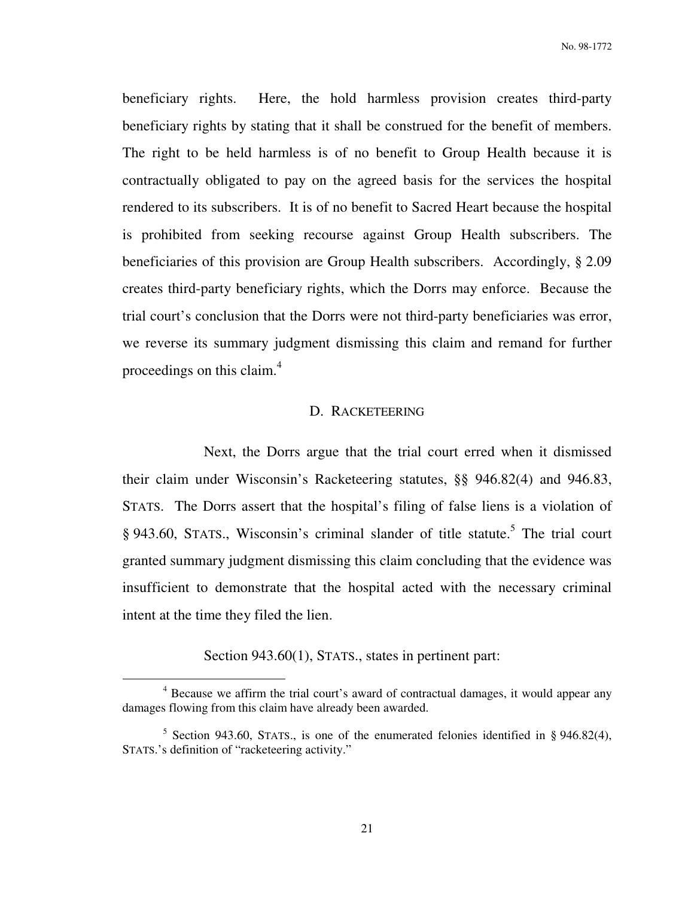beneficiary rights. Here, the hold harmless provision creates third-party beneficiary rights by stating that it shall be construed for the benefit of members. The right to be held harmless is of no benefit to Group Health because it is contractually obligated to pay on the agreed basis for the services the hospital rendered to its subscribers. It is of no benefit to Sacred Heart because the hospital is prohibited from seeking recourse against Group Health subscribers. The beneficiaries of this provision are Group Health subscribers. Accordingly, § 2.09 creates third-party beneficiary rights, which the Dorrs may enforce. Because the trial court's conclusion that the Dorrs were not third-party beneficiaries was error, we reverse its summary judgment dismissing this claim and remand for further proceedings on this claim.<sup>4</sup>

## D. RACKETEERING

 Next, the Dorrs argue that the trial court erred when it dismissed their claim under Wisconsin's Racketeering statutes, §§ 946.82(4) and 946.83, STATS. The Dorrs assert that the hospital's filing of false liens is a violation of § 943.60, STATS., Wisconsin's criminal slander of title statute.<sup>5</sup> The trial court granted summary judgment dismissing this claim concluding that the evidence was insufficient to demonstrate that the hospital acted with the necessary criminal intent at the time they filed the lien.

Section 943.60(1), STATS., states in pertinent part:

 $\overline{a}$ 

<sup>&</sup>lt;sup>4</sup> Because we affirm the trial court's award of contractual damages, it would appear any damages flowing from this claim have already been awarded.

<sup>&</sup>lt;sup>5</sup> Section 943.60, STATS., is one of the enumerated felonies identified in § 946.82(4), STATS.'s definition of "racketeering activity."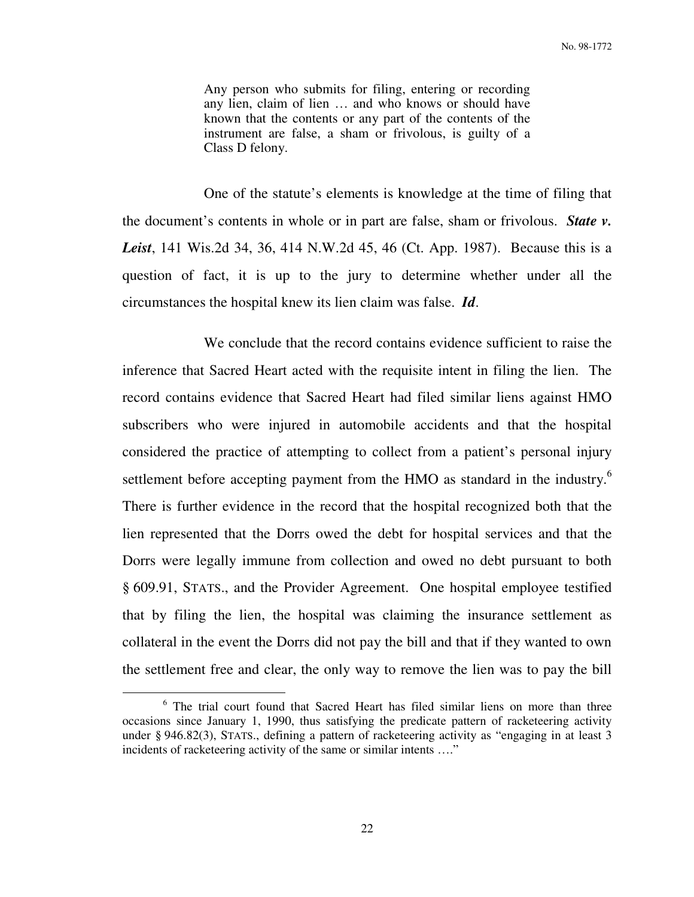Any person who submits for filing, entering or recording any lien, claim of lien … and who knows or should have known that the contents or any part of the contents of the instrument are false, a sham or frivolous, is guilty of a Class D felony.

 One of the statute's elements is knowledge at the time of filing that the document's contents in whole or in part are false, sham or frivolous. *State v. Leist*, 141 Wis.2d 34, 36, 414 N.W.2d 45, 46 (Ct. App. 1987). Because this is a question of fact, it is up to the jury to determine whether under all the circumstances the hospital knew its lien claim was false. *Id*.

 We conclude that the record contains evidence sufficient to raise the inference that Sacred Heart acted with the requisite intent in filing the lien. The record contains evidence that Sacred Heart had filed similar liens against HMO subscribers who were injured in automobile accidents and that the hospital considered the practice of attempting to collect from a patient's personal injury settlement before accepting payment from the HMO as standard in the industry.<sup>6</sup> There is further evidence in the record that the hospital recognized both that the lien represented that the Dorrs owed the debt for hospital services and that the Dorrs were legally immune from collection and owed no debt pursuant to both § 609.91, STATS., and the Provider Agreement. One hospital employee testified that by filing the lien, the hospital was claiming the insurance settlement as collateral in the event the Dorrs did not pay the bill and that if they wanted to own the settlement free and clear, the only way to remove the lien was to pay the bill

 $\overline{a}$ 

<sup>&</sup>lt;sup>6</sup> The trial court found that Sacred Heart has filed similar liens on more than three occasions since January 1, 1990, thus satisfying the predicate pattern of racketeering activity under § 946.82(3), STATS., defining a pattern of racketeering activity as "engaging in at least 3 incidents of racketeering activity of the same or similar intents …."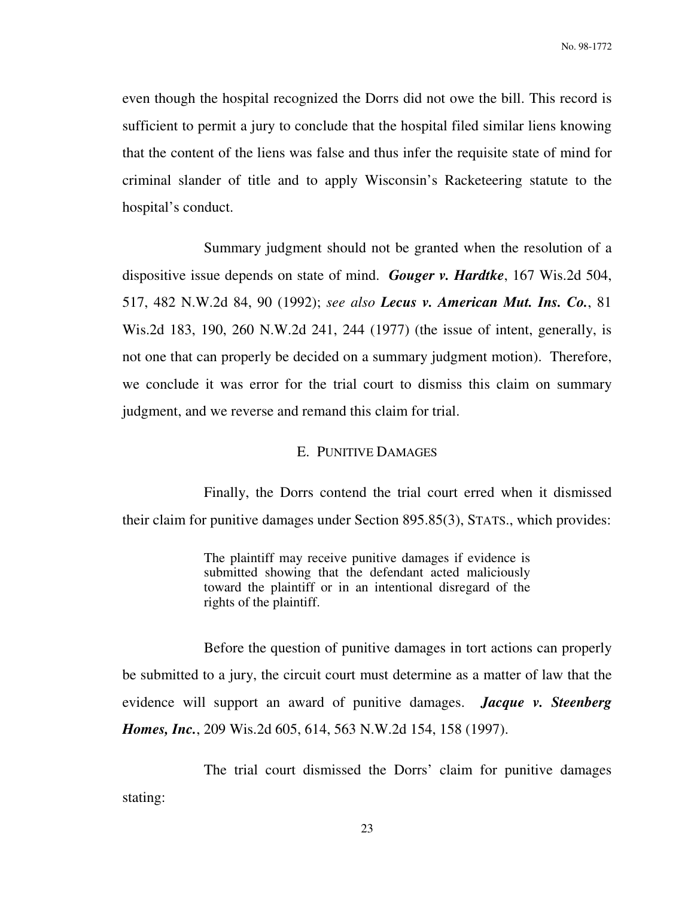even though the hospital recognized the Dorrs did not owe the bill. This record is sufficient to permit a jury to conclude that the hospital filed similar liens knowing that the content of the liens was false and thus infer the requisite state of mind for criminal slander of title and to apply Wisconsin's Racketeering statute to the hospital's conduct.

 Summary judgment should not be granted when the resolution of a dispositive issue depends on state of mind. *Gouger v. Hardtke*, 167 Wis.2d 504, 517, 482 N.W.2d 84, 90 (1992); *see also Lecus v. American Mut. Ins. Co.*, 81 Wis.2d 183, 190, 260 N.W.2d 241, 244 (1977) (the issue of intent, generally, is not one that can properly be decided on a summary judgment motion). Therefore, we conclude it was error for the trial court to dismiss this claim on summary judgment, and we reverse and remand this claim for trial.

### E. PUNITIVE DAMAGES

 Finally, the Dorrs contend the trial court erred when it dismissed their claim for punitive damages under Section 895.85(3), STATS., which provides:

> The plaintiff may receive punitive damages if evidence is submitted showing that the defendant acted maliciously toward the plaintiff or in an intentional disregard of the rights of the plaintiff.

 Before the question of punitive damages in tort actions can properly be submitted to a jury, the circuit court must determine as a matter of law that the evidence will support an award of punitive damages. *Jacque v. Steenberg Homes, Inc.*, 209 Wis.2d 605, 614, 563 N.W.2d 154, 158 (1997).

 The trial court dismissed the Dorrs' claim for punitive damages stating: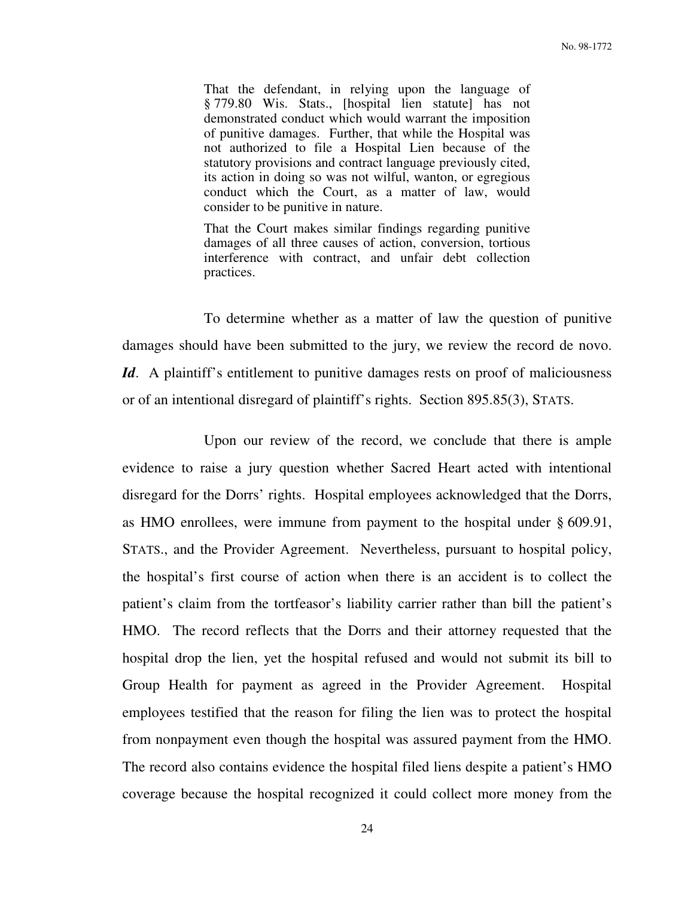That the defendant, in relying upon the language of § 779.80 Wis. Stats., [hospital lien statute] has not demonstrated conduct which would warrant the imposition of punitive damages. Further, that while the Hospital was not authorized to file a Hospital Lien because of the statutory provisions and contract language previously cited, its action in doing so was not wilful, wanton, or egregious conduct which the Court, as a matter of law, would consider to be punitive in nature.

That the Court makes similar findings regarding punitive damages of all three causes of action, conversion, tortious interference with contract, and unfair debt collection practices.

 To determine whether as a matter of law the question of punitive damages should have been submitted to the jury, we review the record de novo. *Id.* A plaintiff's entitlement to punitive damages rests on proof of maliciousness or of an intentional disregard of plaintiff's rights. Section 895.85(3), STATS.

 Upon our review of the record, we conclude that there is ample evidence to raise a jury question whether Sacred Heart acted with intentional disregard for the Dorrs' rights. Hospital employees acknowledged that the Dorrs, as HMO enrollees, were immune from payment to the hospital under § 609.91, STATS., and the Provider Agreement. Nevertheless, pursuant to hospital policy, the hospital's first course of action when there is an accident is to collect the patient's claim from the tortfeasor's liability carrier rather than bill the patient's HMO. The record reflects that the Dorrs and their attorney requested that the hospital drop the lien, yet the hospital refused and would not submit its bill to Group Health for payment as agreed in the Provider Agreement. Hospital employees testified that the reason for filing the lien was to protect the hospital from nonpayment even though the hospital was assured payment from the HMO. The record also contains evidence the hospital filed liens despite a patient's HMO coverage because the hospital recognized it could collect more money from the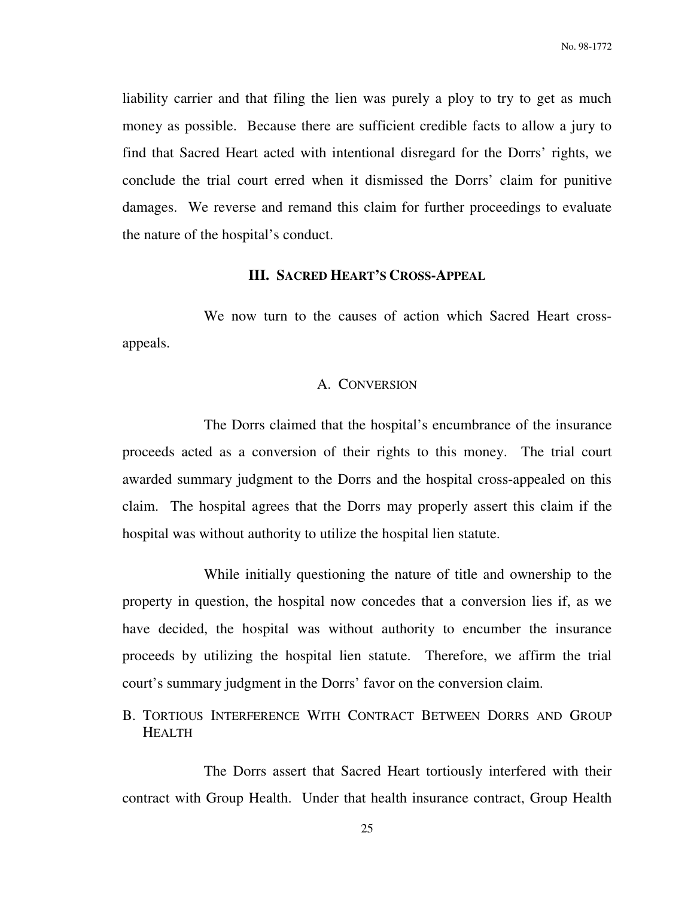liability carrier and that filing the lien was purely a ploy to try to get as much money as possible. Because there are sufficient credible facts to allow a jury to find that Sacred Heart acted with intentional disregard for the Dorrs' rights, we conclude the trial court erred when it dismissed the Dorrs' claim for punitive damages. We reverse and remand this claim for further proceedings to evaluate the nature of the hospital's conduct.

## **III. SACRED HEART'S CROSS-APPEAL**

 We now turn to the causes of action which Sacred Heart crossappeals.

### A. CONVERSION

 The Dorrs claimed that the hospital's encumbrance of the insurance proceeds acted as a conversion of their rights to this money. The trial court awarded summary judgment to the Dorrs and the hospital cross-appealed on this claim. The hospital agrees that the Dorrs may properly assert this claim if the hospital was without authority to utilize the hospital lien statute.

 While initially questioning the nature of title and ownership to the property in question, the hospital now concedes that a conversion lies if, as we have decided, the hospital was without authority to encumber the insurance proceeds by utilizing the hospital lien statute. Therefore, we affirm the trial court's summary judgment in the Dorrs' favor on the conversion claim.

B. TORTIOUS INTERFERENCE WITH CONTRACT BETWEEN DORRS AND GROUP HEALTH

 The Dorrs assert that Sacred Heart tortiously interfered with their contract with Group Health. Under that health insurance contract, Group Health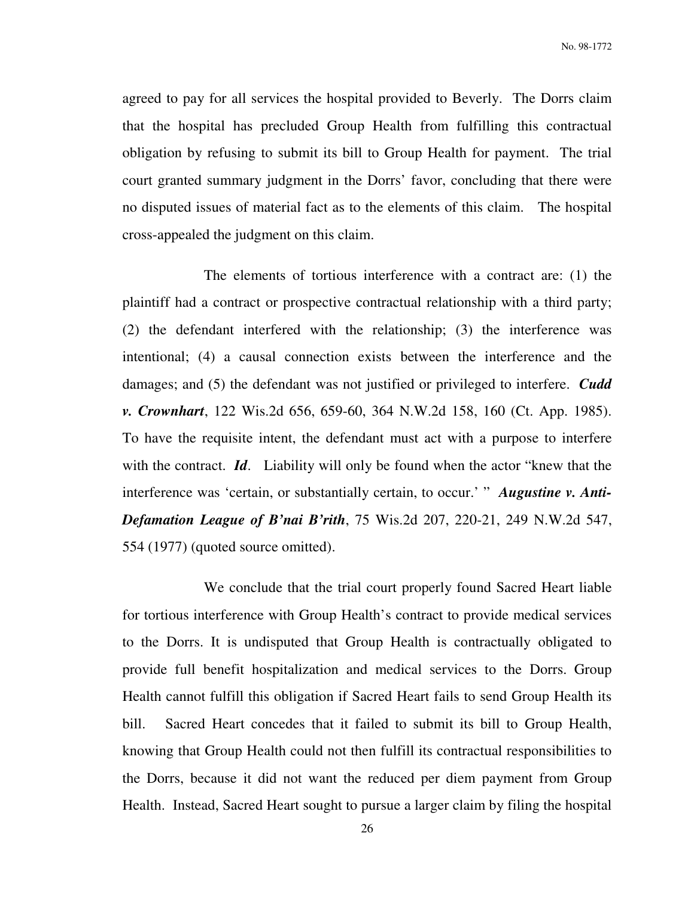No. 98-1772

agreed to pay for all services the hospital provided to Beverly. The Dorrs claim that the hospital has precluded Group Health from fulfilling this contractual obligation by refusing to submit its bill to Group Health for payment. The trial court granted summary judgment in the Dorrs' favor, concluding that there were no disputed issues of material fact as to the elements of this claim. The hospital cross-appealed the judgment on this claim.

 The elements of tortious interference with a contract are: (1) the plaintiff had a contract or prospective contractual relationship with a third party; (2) the defendant interfered with the relationship; (3) the interference was intentional; (4) a causal connection exists between the interference and the damages; and (5) the defendant was not justified or privileged to interfere. *Cudd v. Crownhart*, 122 Wis.2d 656, 659-60, 364 N.W.2d 158, 160 (Ct. App. 1985). To have the requisite intent, the defendant must act with a purpose to interfere with the contract. *Id*. Liability will only be found when the actor "knew that the interference was 'certain, or substantially certain, to occur.' " *Augustine v. Anti-Defamation League of B'nai B'rith*, 75 Wis.2d 207, 220-21, 249 N.W.2d 547, 554 (1977) (quoted source omitted).

 We conclude that the trial court properly found Sacred Heart liable for tortious interference with Group Health's contract to provide medical services to the Dorrs. It is undisputed that Group Health is contractually obligated to provide full benefit hospitalization and medical services to the Dorrs. Group Health cannot fulfill this obligation if Sacred Heart fails to send Group Health its bill. Sacred Heart concedes that it failed to submit its bill to Group Health, knowing that Group Health could not then fulfill its contractual responsibilities to the Dorrs, because it did not want the reduced per diem payment from Group Health. Instead, Sacred Heart sought to pursue a larger claim by filing the hospital